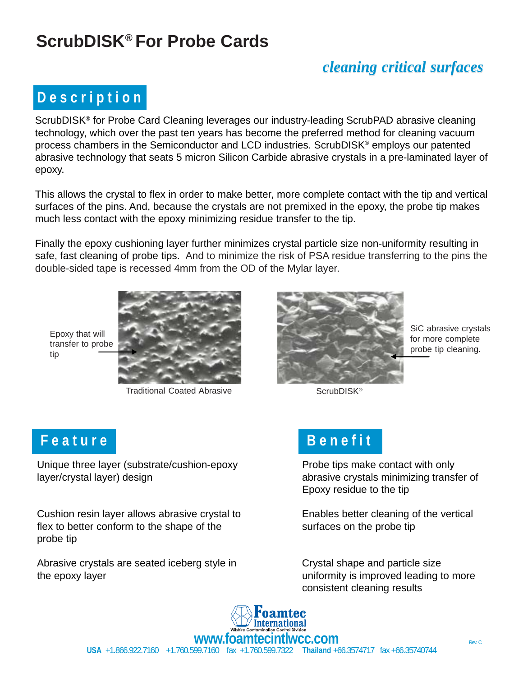# **ScrubDISK® For Probe Cards**

#### *cleaning critical surfaces*

# **D e s c r i p t i o n**

ScrubDISK® for Probe Card Cleaning leverages our industry-leading ScrubPAD abrasive cleaning technology, which over the past ten years has become the preferred method for cleaning vacuum process chambers in the Semiconductor and LCD industries. ScrubDISK® employs our patented abrasive technology that seats 5 micron Silicon Carbide abrasive crystals in a pre-laminated layer of epoxy.

This allows the crystal to flex in order to make better, more complete contact with the tip and vertical surfaces of the pins. And, because the crystals are not premixed in the epoxy, the probe tip makes much less contact with the epoxy minimizing residue transfer to the tip.

Finally the epoxy cushioning layer further minimizes crystal particle size non-uniformity resulting in safe, fast cleaning of probe tips. And to minimize the risk of PSA residue transferring to the pins the double-sided tape is recessed 4mm from the OD of the Mylar layer.

Epoxy that will transfer to probe tip



Traditional Coated Abrasive ScrubDISK<sup>®</sup>



SiC abrasive crystals for more complete probe tip cleaning.

### F e a t u r e **B** e n e f i t

Unique three layer (substrate/cushion-epoxy Probe tips make contact with only layer/crystal layer) design abrasive crystals minimizing transfer of

Cushion resin layer allows abrasive crystal to **Enables better cleaning of the vertical**<br>flaute better conferments the share of the set of the second conference of the west of the flex to better conform to the shape of the surfaces on the probe tip probe tip

Abrasive crystals are seated iceberg style in Crystal shape and particle size the epoxy layer uniformity is improved leading to more

Epoxy residue to the tip

consistent cleaning results